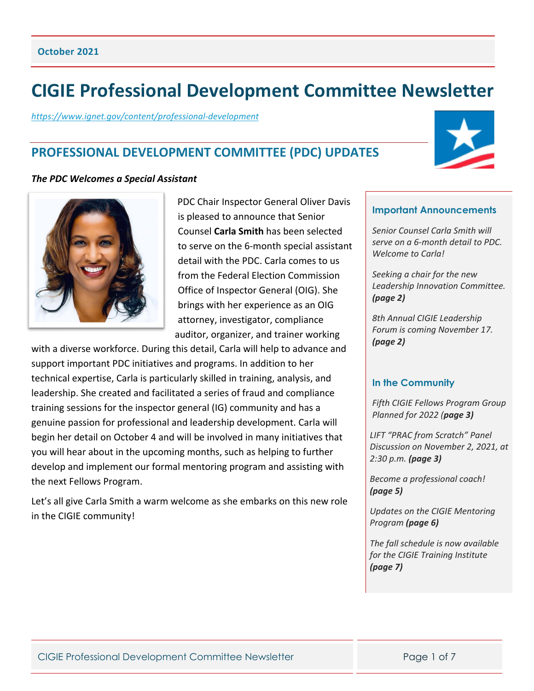# **CIGIE Professional Development Committee Newsletter**

*<https://www.ignet.gov/content/professional-development>*

## **PROFESSIONAL DEVELOPMENT COMMITTEE (PDC) UPDATES**

#### *The PDC Welcomes a Special Assistant*



PDC Chair Inspector General Oliver Davis is pleased to announce that Senior Counsel **Carla Smith** has been selected to serve on the 6-month special assistant detail with the PDC. Carla comes to us from the Federal Election Commission Office of Inspector General (OIG). She brings with her experience as an OIG attorney, investigator, compliance auditor, organizer, and trainer working

with a diverse workforce. During this detail, Carla will help to advance and support important PDC initiatives and programs. In addition to her technical expertise, Carla is particularly skilled in training, analysis, and leadership. She created and facilitated a series of fraud and compliance training sessions for the inspector general (IG) community and has a genuine passion for professional and leadership development. Carla will begin her detail on October 4 and will be involved in many initiatives that you will hear about in the upcoming months, such as helping to further develop and implement our formal mentoring program and assisting with the next Fellows Program.

Let's all give Carla Smith a warm welcome as she embarks on this new role in the CIGIE community!

#### **Important Announcements**

*Senior Counsel Carla Smith will serve on a 6-month detail to PDC. Welcome to Carla!*

*Seeking a chair for the new Leadership Innovation Committee. (page 2)*

*8th Annual CIGIE Leadership Forum is coming November 17. (page 2)*

#### **In the Community**

*Fifth CIGIE Fellows Program Group Planned for 2022 (page 3)*

*LIFT "PRAC from Scratch" Panel Discussion on November 2, 2021, at 2:30 p.m. (page 3)*

*Become a professional coach! (page 5)* 

*Updates on the CIGIE Mentoring Program (page 6)*

*The fall schedule is now available for the CIGIE Training Institute (page 7)*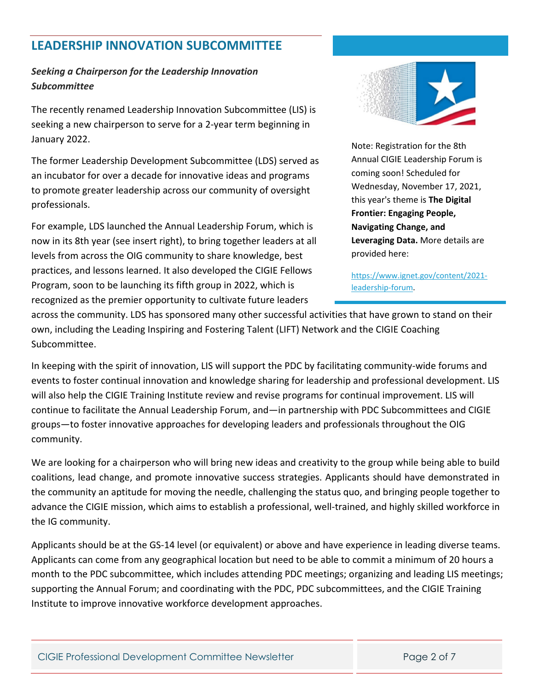## **LEADERSHIP INNOVATION SUBCOMMITTEE**

## *Seeking a Chairperson for the Leadership Innovation Subcommittee*

The recently renamed Leadership Innovation Subcommittee (LIS) is seeking a new chairperson to serve for a 2-year term beginning in January 2022.

The former Leadership Development Subcommittee (LDS) served as an incubator for over a decade for innovative ideas and programs to promote greater leadership across our community of oversight professionals.

For example, LDS launched the Annual Leadership Forum, which is now in its 8th year (see insert right), to bring together leaders at all levels from across the OIG community to share knowledge, best practices, and lessons learned. It also developed the CIGIE Fellows Program, soon to be launching its fifth group in 2022, which is recognized as the premier opportunity to cultivate future leaders



Note: Registration for the 8th Annual CIGIE Leadership Forum is coming soon! Scheduled for Wednesday, November 17, 2021, this year's theme is **The Digital Frontier: Engaging People, Navigating Change, and Leveraging Data.** More details are provided here:

[https://www.ignet.gov/content/2021](https://www.ignet.gov/content/2021-leadership-forum) [leadership-forum.](https://www.ignet.gov/content/2021-leadership-forum)

across the community. LDS has sponsored many other successful activities that have grown to stand on their own, including the Leading Inspiring and Fostering Talent (LIFT) Network and the CIGIE Coaching Subcommittee.

In keeping with the spirit of innovation, LIS will support the PDC by facilitating community-wide forums and events to foster continual innovation and knowledge sharing for leadership and professional development. LIS will also help the CIGIE Training Institute review and revise programs for continual improvement. LIS will continue to facilitate the Annual Leadership Forum, and—in partnership with PDC Subcommittees and CIGIE groups—to foster innovative approaches for developing leaders and professionals throughout the OIG community.

We are looking for a chairperson who will bring new ideas and creativity to the group while being able to build coalitions, lead change, and promote innovative success strategies. Applicants should have demonstrated in the community an aptitude for moving the needle, challenging the status quo, and bringing people together to advance the CIGIE mission, which aims to establish a professional, well-trained, and highly skilled workforce in the IG community.

Applicants should be at the GS-14 level (or equivalent) or above and have experience in leading diverse teams. Applicants can come from any geographical location but need to be able to commit a minimum of 20 hours a month to the PDC subcommittee, which includes attending PDC meetings; organizing and leading LIS meetings; supporting the Annual Forum; and coordinating with the PDC, PDC subcommittees, and the CIGIE Training Institute to improve innovative workforce development approaches.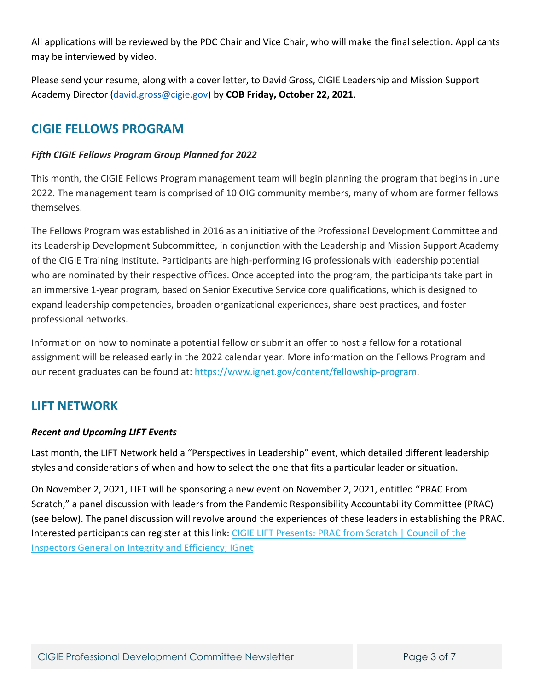All applications will be reviewed by the PDC Chair and Vice Chair, who will make the final selection. Applicants may be interviewed by video.

Please send your resume, along with a cover letter, to David Gross, CIGIE Leadership and Mission Support Academy Director [\(david.gross@cigie.gov\)](mailto:david.gross@cigie.gov) by **COB Friday, October 22, 2021**.

## **CIGIE FELLOWS PROGRAM**

## *Fifth CIGIE Fellows Program Group Planned for 2022*

This month, the CIGIE Fellows Program management team will begin planning the program that begins in June 2022. The management team is comprised of 10 OIG community members, many of whom are former fellows themselves.

The Fellows Program was established in 2016 as an initiative of the Professional Development Committee and its Leadership Development Subcommittee, in conjunction with the Leadership and Mission Support Academy of the CIGIE Training Institute. Participants are high-performing IG professionals with leadership potential who are nominated by their respective offices. Once accepted into the program, the participants take part in an immersive 1-year program, based on Senior Executive Service core qualifications, which is designed to expand leadership competencies, broaden organizational experiences, share best practices, and foster professional networks.

Information on how to nominate a potential fellow or submit an offer to host a fellow for a rotational assignment will be released early in the 2022 calendar year. More information on the Fellows Program and our recent graduates can be found at: [https://www.ignet.gov/content/fellowship-program.](https://www.ignet.gov/content/fellowship-program)

## **LIFT NETWORK**

## *Recent and Upcoming LIFT Events*

Last month, the LIFT Network held a "Perspectives in Leadership" event, which detailed different leadership styles and considerations of when and how to select the one that fits a particular leader or situation.

On November 2, 2021, LIFT will be sponsoring a new event on November 2, 2021, entitled "PRAC From Scratch," a panel discussion with leaders from the Pandemic Responsibility Accountability Committee (PRAC) (see below). The panel discussion will revolve around the experiences of these leaders in establishing the PRAC. Interested participants can register at this link: [CIGIE LIFT Presents: PRAC from Scratch | Council of the](https://www.ignet.gov/content/cigie-lift-presents-prac-scratch)  [Inspectors General on Integrity and Efficiency; IGnet](https://www.ignet.gov/content/cigie-lift-presents-prac-scratch)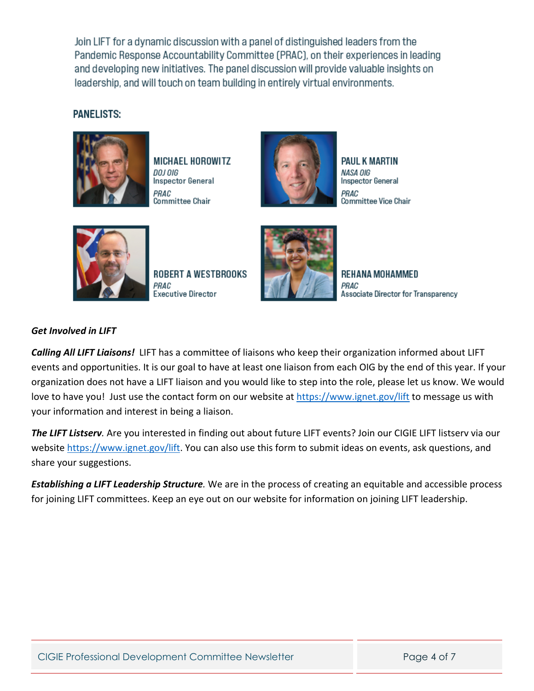Join LIFT for a dynamic discussion with a panel of distinguished leaders from the Pandemic Response Accountability Committee (PRAC), on their experiences in leading and developing new initiatives. The panel discussion will provide valuable insights on leadership, and will touch on team building in entirely virtual environments.

## **PANELISTS:**



**MICHAEL HOROWITZ** DOJ OIG **Inspector General** PRAC Committee Chair



**PAUL K MARTIN** NASA OIG **Inspector General** PRAC Committee Vice Chair



**ROBERT A WESTBROOKS** PRAC **Executive Director** 



**REHANA MOHAMMED** PRAC Associate Director for Transparency

## *Get Involved in LIFT*

*Calling All LIFT Liaisons!* LIFT has a committee of liaisons who keep their organization informed about LIFT events and opportunities. It is our goal to have at least one liaison from each OIG by the end of this year. If your organization does not have a LIFT liaison and you would like to step into the role, please let us know. We would love to have you! Just use the contact form on our website at <https://www.ignet.gov/lift> to message us with your information and interest in being a liaison.

*The LIFT Listserv.* Are you interested in finding out about future LIFT events? Join our CIGIE LIFT listserv via our website [https://www.ignet.gov/lift.](https://www.ignet.gov/lift) You can also use this form to submit ideas on events, ask questions, and share your suggestions.

*Establishing a LIFT Leadership Structure.* We are in the process of creating an equitable and accessible process for joining LIFT committees. Keep an eye out on our website for information on joining LIFT leadership.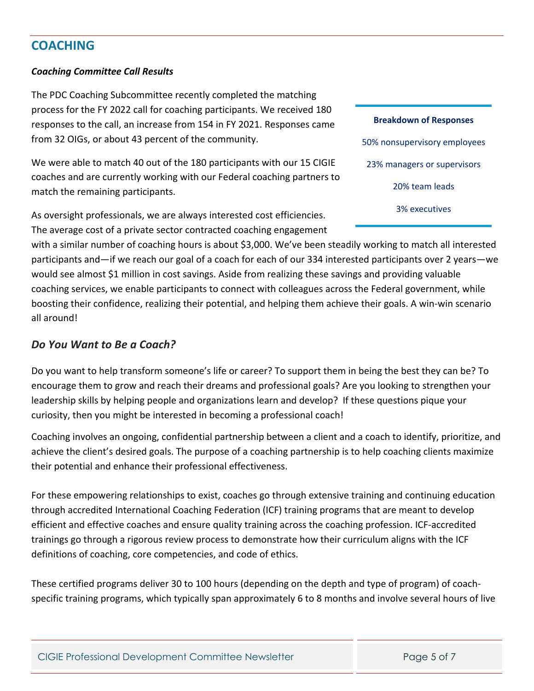## **COACHING**

#### *Coaching Committee Call Results*

The PDC Coaching Subcommittee recently completed the matching process for the FY 2022 call for coaching participants. We received 180 responses to the call, an increase from 154 in FY 2021. Responses came from 32 OIGs, or about 43 percent of the community.

We were able to match 40 out of the 180 participants with our 15 CIGIE coaches and are currently working with our Federal coaching partners to match the remaining participants.

As oversight professionals, we are always interested cost efficiencies. The average cost of a private sector contracted coaching engagement

with a similar number of coaching hours is about \$3,000. We've been steadily working to match all interested participants and—if we reach our goal of a coach for each of our 334 interested participants over 2 years—we would see almost \$1 million in cost savings. Aside from realizing these savings and providing valuable coaching services, we enable participants to connect with colleagues across the Federal government, while boosting their confidence, realizing their potential, and helping them achieve their goals. A win-win scenario all around!

## *Do You Want to Be a Coach?*

Do you want to help transform someone's life or career? To support them in being the best they can be? To encourage them to grow and reach their dreams and professional goals? Are you looking to strengthen your leadership skills by helping people and organizations learn and develop? If these questions pique your curiosity, then you might be interested in becoming a professional coach!

Coaching involves an ongoing, confidential partnership between a client and a coach to identify, prioritize, and achieve the client's desired goals. The purpose of a coaching partnership is to help coaching clients maximize their potential and enhance their professional effectiveness.

For these empowering relationships to exist, coaches go through extensive training and continuing education through accredited International Coaching Federation (ICF) training programs that are meant to develop efficient and effective coaches and ensure quality training across the coaching profession. ICF-accredited trainings go through a rigorous review process to demonstrate how their curriculum aligns with the ICF definitions of coaching, core competencies, and code of ethics.

These certified programs deliver 30 to 100 hours (depending on the depth and type of program) of coachspecific training programs, which typically span approximately 6 to 8 months and involve several hours of live

**Breakdown of Responses** 50% nonsupervisory employees 23% managers or supervisors 20% team leads 3% executives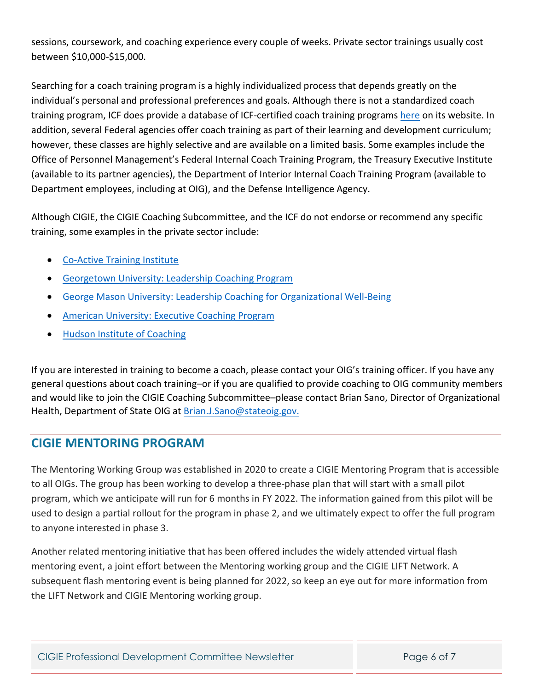sessions, coursework, and coaching experience every couple of weeks. Private sector trainings usually cost between \$10,000-\$15,000.

Searching for a coach training program is a highly individualized process that depends greatly on the individual's personal and professional preferences and goals. Although there is not a standardized coach training program, ICF does provide a database of ICF-certified coach training programs [here](https://coachingfederation.org/credentials-and-standards/find-a-training-program) on its website. In addition, several Federal agencies offer coach training as part of their learning and development curriculum; however, these classes are highly selective and are available on a limited basis. Some examples include the Office of Personnel Management's Federal Internal Coach Training Program, the Treasury Executive Institute (available to its partner agencies), the Department of Interior Internal Coach Training Program (available to Department employees, including at OIG), and the Defense Intelligence Agency.

Although CIGIE, the CIGIE Coaching Subcommittee, and the ICF do not endorse or recommend any specific training, some examples in the private sector include:

- [Co-Active Training Institute](https://coactive.com/)
- [Georgetown University: Leadership Coaching Program](https://scs.georgetown.edu/programs/388/certificate-in-leadership-coaching/)
- [George Mason University: Leadership Coaching for Organizational Well-Being](https://cpe.gmu.edu/public/category/courseCategoryCertificateProfile.do?method=load&certificateId=1002544)
- [American University: Executive Coaching Program](https://www.american.edu/provost/ogps/executive-education/executive-coaching/)
- [Hudson Institute of Coaching](https://hudsoninstitute.com/individuals/coach-certification-program/)

If you are interested in training to become a coach, please contact your OIG's training officer. If you have any general questions about coach training–or if you are qualified to provide coaching to OIG community members and would like to join the CIGIE Coaching Subcommittee–please contact Brian Sano, Director of Organizational Health, Department of State OIG at **Brian.J.Sano@stateoig.gov.** 

## **CIGIE MENTORING PROGRAM**

The Mentoring Working Group was established in 2020 to create a CIGIE Mentoring Program that is accessible to all OIGs. The group has been working to develop a three-phase plan that will start with a small pilot program, which we anticipate will run for 6 months in FY 2022. The information gained from this pilot will be used to design a partial rollout for the program in phase 2, and we ultimately expect to offer the full program to anyone interested in phase 3.

Another related mentoring initiative that has been offered includes the widely attended virtual flash mentoring event, a joint effort between the Mentoring working group and the CIGIE LIFT Network. A subsequent flash mentoring event is being planned for 2022, so keep an eye out for more information from the LIFT Network and CIGIE Mentoring working group.